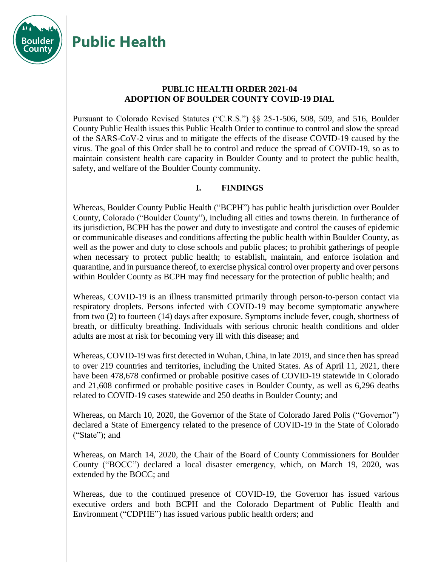

# **Public Health**

#### **PUBLIC HEALTH ORDER 2021-04 ADOPTION OF BOULDER COUNTY COVID-19 DIAL**

Pursuant to Colorado Revised Statutes ("C.R.S.") §§ 25-1-506, 508, 509, and 516, Boulder County Public Health issues this Public Health Order to continue to control and slow the spread of the SARS-CoV-2 virus and to mitigate the effects of the disease COVID-19 caused by the virus. The goal of this Order shall be to control and reduce the spread of COVID-19, so as to maintain consistent health care capacity in Boulder County and to protect the public health, safety, and welfare of the Boulder County community.

## **I. FINDINGS**

Whereas, Boulder County Public Health ("BCPH") has public health jurisdiction over Boulder County, Colorado ("Boulder County"), including all cities and towns therein. In furtherance of its jurisdiction, BCPH has the power and duty to investigate and control the causes of epidemic or communicable diseases and conditions affecting the public health within Boulder County, as well as the power and duty to close schools and public places; to prohibit gatherings of people when necessary to protect public health; to establish, maintain, and enforce isolation and quarantine, and in pursuance thereof, to exercise physical control over property and over persons within Boulder County as BCPH may find necessary for the protection of public health; and

Whereas, COVID-19 is an illness transmitted primarily through person-to-person contact via respiratory droplets. Persons infected with COVID-19 may become symptomatic anywhere from two (2) to fourteen (14) days after exposure. Symptoms include fever, cough, shortness of breath, or difficulty breathing. Individuals with serious chronic health conditions and older adults are most at risk for becoming very ill with this disease; and

Whereas, COVID-19 was first detected in Wuhan, China, in late 2019, and since then has spread to over 219 countries and territories, including the United States. As of April 11, 2021, there have been 478,678 confirmed or probable positive cases of COVID-19 statewide in Colorado and 21,608 confirmed or probable positive cases in Boulder County, as well as 6,296 deaths related to COVID-19 cases statewide and 250 deaths in Boulder County; and

Whereas, on March 10, 2020, the Governor of the State of Colorado Jared Polis ("Governor") declared a State of Emergency related to the presence of COVID-19 in the State of Colorado ("State"); and

Whereas, on March 14, 2020, the Chair of the Board of County Commissioners for Boulder County ("BOCC") declared a local disaster emergency, which, on March 19, 2020, was extended by the BOCC; and

Whereas, due to the continued presence of COVID-19, the Governor has issued various executive orders and both BCPH and the Colorado Department of Public Health and Environment ("CDPHE") has issued various public health orders; and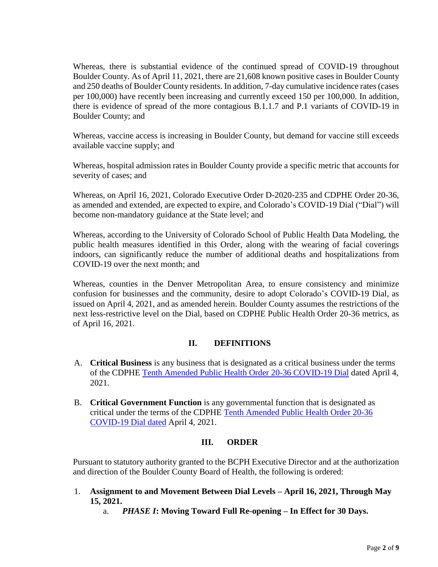Whereas, there is substantial evidence of the continued spread of COVID-19 throughout Boulder County. As of April 11, 2021, there are 21,608 known positive cases in Boulder County and 250 deaths of Boulder County residents. In addition, 7-day cumulative incidence rates (cases per 100,000) have recently been increasing and currently exceed 150 per 100,000. In addition, there is evidence of spread of the more contagious B.1.1.7 and P.1 variants of COVID-19 in Boulder County; and

Whereas, vaccine access is increasing in Boulder County, but demand for vaccine still exceeds available vaccine supply; and

Whereas, hospital admission rates in Boulder County provide a specific metric that accounts for severity of cases; and

Whereas, on April 16, 2021, Colorado Executive Order D-2020-235 and CDPHE Order 20-36, as amended and extended, are expected to expire, and Colorado's COVID-19 Dial ("Dial") will become non-mandatory guidance at the State level; and

Whereas, according to the University of Colorado School of Public Health Data Modeling, the public health measures identified in this Order, along with the wearing of facial coverings indoors, can significantly reduce the number of additional deaths and hospitalizations from COVID-19 over the next month; and

Whereas, counties in the Denver Metropolitan Area, to ensure consistency and minimize confusion for businesses and the community, desire to adopt Colorado's COVID-19 Dial, as issued on April 4, 2021, and as amended herein. Boulder County assumes the restrictions of the next less-restrictive level on the Dial, based on CDPHE Public Health Order 20-36 metrics, as of April 16, 2021.

#### **II. DEFINITIONS**

- A. **Critical Business** is any business that is designated as a critical business under the terms of the CDPHE [Tenth Amended Public Health Order 20-36 COVID-19 Dial](https://drive.google.com/file/d/1euTgw2KzkBTYBYpCWmZsMId45ckacau8/view) dated April 4, 2021.
- B. **Critical Government Function** is any governmental function that is designated as critical under the terms of the CDPHE [Tenth Amended Public Health Order 20-36](https://drive.google.com/file/d/1euTgw2KzkBTYBYpCWmZsMId45ckacau8/view)  [COVID-19 Dial dated](https://drive.google.com/file/d/1euTgw2KzkBTYBYpCWmZsMId45ckacau8/view) April 4, 2021.

#### **III. ORDER**

Pursuant to statutory authority granted to the BCPH Executive Director and at the authorization and direction of the Boulder County Board of Health, the following is ordered:

- 1. **Assignment to and Movement Between Dial Levels – April 16, 2021, Through May 15, 2021.**
	- a. *PHASE I***: Moving Toward Full Re-opening – In Effect for 30 Days.**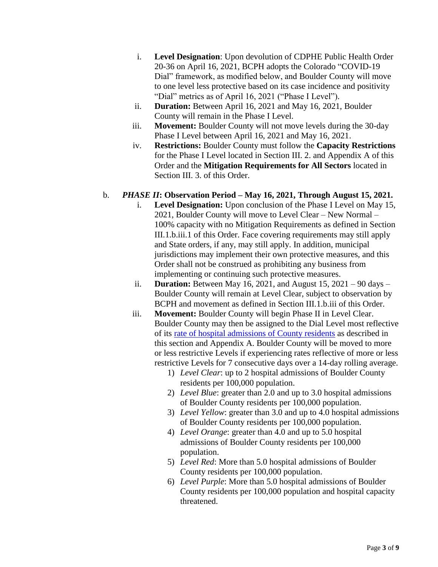- i. **Level Designation**: Upon devolution of CDPHE Public Health Order 20-36 on April 16, 2021, BCPH adopts the Colorado "COVID-19 Dial" framework, as modified below, and Boulder County will move to one level less protective based on its case incidence and positivity "Dial" metrics as of April 16, 2021 ("Phase I Level").
- ii. **Duration:** Between April 16, 2021 and May 16, 2021, Boulder County will remain in the Phase I Level.
- iii. **Movement:** Boulder County will not move levels during the 30-day Phase I Level between April 16, 2021 and May 16, 2021.
- iv. **Restrictions:** Boulder County must follow the **Capacity Restrictions** for the Phase I Level located in Section III. 2. and Appendix A of this Order and the **Mitigation Requirements for All Sectors** located in Section III. 3. of this Order.

#### b. *PHASE II***: Observation Period – May 16, 2021, Through August 15, 2021.**

- i. **Level Designation:** Upon conclusion of the Phase I Level on May 15, 2021, Boulder County will move to Level Clear – New Normal – 100% capacity with no Mitigation Requirements as defined in Section III.1.b.iii.1 of this Order. Face covering requirements may still apply and State orders, if any, may still apply. In addition, municipal jurisdictions may implement their own protective measures, and this Order shall not be construed as prohibiting any business from implementing or continuing such protective measures.
- ii. **Duration:** Between May 16, 2021, and August 15, 2021 90 days Boulder County will remain at Level Clear, subject to observation by BCPH and movement as defined in Section III.1.b.iii of this Order.
- iii. **Movement:** Boulder County will begin Phase II in Level Clear. Boulder County may then be assigned to the Dial Level most reflective of its [rate of hospital admissions of County residents](https://public.tableau.com/profile/dph.data#!/vizhome/MetroDenverCOVID-19DataSummary/CountyHospitalizationsAdmissionRate) as described in this section and Appendix A. Boulder County will be moved to more or less restrictive Levels if experiencing rates reflective of more or less restrictive Levels for 7 consecutive days over a 14-day rolling average.
	- 1) *Level Clear*: up to 2 hospital admissions of Boulder County residents per 100,000 population.
	- 2) *Level Blue*: greater than 2.0 and up to 3.0 hospital admissions of Boulder County residents per 100,000 population.
	- 3) *Level Yellow*: greater than 3.0 and up to 4.0 hospital admissions of Boulder County residents per 100,000 population.
	- 4) *Level Orange*: greater than 4.0 and up to 5.0 hospital admissions of Boulder County residents per 100,000 population.
	- 5) *Level Red*: More than 5.0 hospital admissions of Boulder County residents per 100,000 population.
	- 6) *Level Purple*: More than 5.0 hospital admissions of Boulder County residents per 100,000 population and hospital capacity threatened.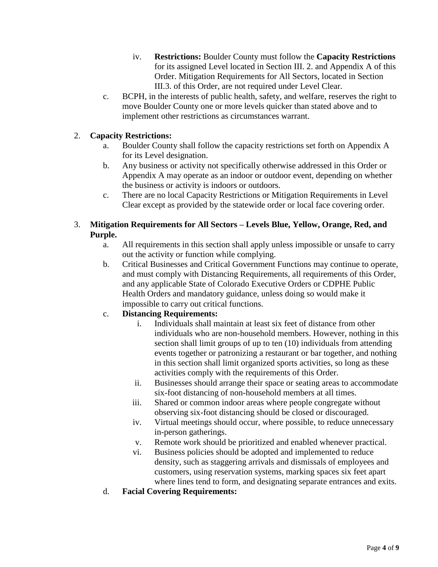- iv. **Restrictions:** Boulder County must follow the **Capacity Restrictions** for its assigned Level located in Section III. 2. and Appendix A of this Order. Mitigation Requirements for All Sectors, located in Section III.3. of this Order, are not required under Level Clear.
- c. BCPH, in the interests of public health, safety, and welfare, reserves the right to move Boulder County one or more levels quicker than stated above and to implement other restrictions as circumstances warrant.

### 2. **Capacity Restrictions:**

- a. Boulder County shall follow the capacity restrictions set forth on Appendix A for its Level designation.
- b. Any business or activity not specifically otherwise addressed in this Order or Appendix A may operate as an indoor or outdoor event, depending on whether the business or activity is indoors or outdoors.
- c. There are no local Capacity Restrictions or Mitigation Requirements in Level Clear except as provided by the statewide order or local face covering order.

#### 3. **Mitigation Requirements for All Sectors – Levels Blue, Yellow, Orange, Red, and Purple.**

- a. All requirements in this section shall apply unless impossible or unsafe to carry out the activity or function while complying.
- b. Critical Businesses and Critical Government Functions may continue to operate, and must comply with Distancing Requirements, all requirements of this Order, and any applicable State of Colorado Executive Orders or CDPHE Public Health Orders and mandatory guidance, unless doing so would make it impossible to carry out critical functions.

## c. **Distancing Requirements:**

- i. Individuals shall maintain at least six feet of distance from other individuals who are non-household members. However, nothing in this section shall limit groups of up to ten (10) individuals from attending events together or patronizing a restaurant or bar together, and nothing in this section shall limit organized sports activities, so long as these activities comply with the requirements of this Order.
- ii. Businesses should arrange their space or seating areas to accommodate six-foot distancing of non-household members at all times.
- iii. Shared or common indoor areas where people congregate without observing six-foot distancing should be closed or discouraged.
- iv. Virtual meetings should occur, where possible, to reduce unnecessary in-person gatherings.
- v. Remote work should be prioritized and enabled whenever practical.
- vi. Business policies should be adopted and implemented to reduce density, such as staggering arrivals and dismissals of employees and customers, using reservation systems, marking spaces six feet apart where lines tend to form, and designating separate entrances and exits.
- d. **Facial Covering Requirements:**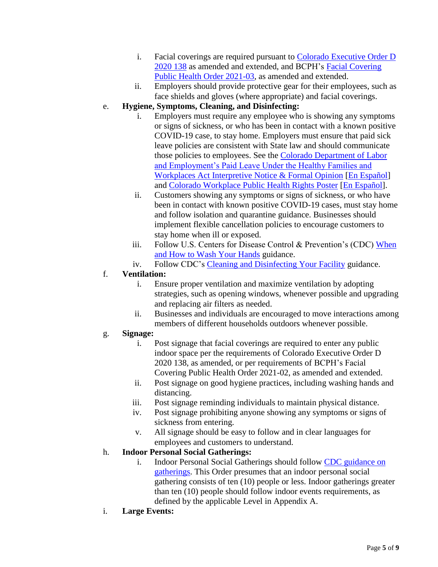- i. Facial coverings are required pursuant to [Colorado Executive Order D](https://www.colorado.gov/pacific/sites/default/files/maskexecutiveorder.pdf)  [2020 138](https://www.colorado.gov/pacific/sites/default/files/maskexecutiveorder.pdf) as amended and extended, and BCPH's Facial [Covering](https://assets.bouldercounty.org/wp-content/uploads/2021/04/2021-03-amended-mask-order.pdf)  [Public Health Order](https://assets.bouldercounty.org/wp-content/uploads/2021/04/2021-03-amended-mask-order.pdf) 2021-03, as amended and extended.
- ii. Employers should provide protective gear for their employees, such as face shields and gloves (where appropriate) and facial coverings.

## e. **Hygiene, Symptoms, Cleaning, and Disinfecting:**

- i. Employers must require any employee who is showing any symptoms or signs of sickness, or who has been in contact with a known positive COVID-19 case, to stay home. Employers must ensure that paid sick leave policies are consistent with State law and should communicate those policies to employees. See the Colorado Department of Labor [and Employment's Paid Leave Under the Healthy Families and](https://cdle.colorado.gov/sites/cdle/files/INFO%20%236B%20%284-8-21%29_%202021%20Paid%20Leave%20under%20HFWA.pdf)  [Workplaces Act Interpretive Notice & Formal Opinion](https://cdle.colorado.gov/sites/cdle/files/INFO%20%236B%20%284-8-21%29_%202021%20Paid%20Leave%20under%20HFWA.pdf) [\[En Español\]](https://cdle.colorado.gov/sites/cdle/files/Spanish%20INFO%20%236B_%20Pago%20por%20Ausencia%20Laboral%20bajo%20el%20Acta%20de%20Familias%20y%20Lugares%20de%20Trabajos%20Saludables%2C%20a%20partir%20de%201o%20de%20enero%20%282021%29%20-%20Google%20Docs_0.pdf) and [Colorado Workplace Public Health Rights Poster](https://cdle.colorado.gov/sites/cdle/files/Poster%2C%20Paid%20Leave%20%26%20Whistleblower%20-%202021%20poster.pdf) [\[En Español\]](https://cdle.colorado.gov/sites/cdle/files/Spanish%20Poster%2C%20Paid%20Leave%20%26%20Whistleblower%20%282021%29%20FINAL%20-%20Google%20Docs.pdf).
- ii. Customers showing any symptoms or signs of sickness, or who have been in contact with known positive COVID-19 cases, must stay home and follow isolation and quarantine guidance. Businesses should implement flexible cancellation policies to encourage customers to stay home when ill or exposed.
- iii. Follow U.S. Centers for Disease Control & Prevention's (CDC) [When](https://www.cdc.gov/handwashing/when-how-handwashing.html)  [and How to Wash Your Hands](https://www.cdc.gov/handwashing/when-how-handwashing.html) guidance.
- iv. Follow CDC's [Cleaning and Disinfecting Your Facility](https://www.cdc.gov/coronavirus/2019-ncov/community/disinfecting-building-facility.html) guidance.

## f. **Ventilation:**

- i. Ensure proper ventilation and maximize ventilation by adopting strategies, such as opening windows, whenever possible and upgrading and replacing air filters as needed.
- ii. Businesses and individuals are encouraged to move interactions among members of different households outdoors whenever possible.

## g. **Signage:**

- i. Post signage that facial coverings are required to enter any public indoor space per the requirements of Colorado Executive Order D 2020 138, as amended, or per requirements of BCPH's Facial Covering Public Health Order 2021-02, as amended and extended.
- ii. Post signage on good hygiene practices, including washing hands and distancing.
- iii. Post signage reminding individuals to maintain physical distance.
- iv. Post signage prohibiting anyone showing any symptoms or signs of sickness from entering.
- v. All signage should be easy to follow and in clear languages for employees and customers to understand.

## h. **Indoor Personal Social Gatherings:**

- i. Indoor Personal Social Gatherings should follow [CDC guidance on](https://www.cdc.gov/coronavirus/2019-ncov/daily-life-coping/holidays/small-gatherings.html) [gatherings.](https://www.cdc.gov/coronavirus/2019-ncov/daily-life-coping/holidays/small-gatherings.html) This Order presumes that an indoor personal social gathering consists of ten (10) people or less. Indoor gatherings greater than ten (10) people should follow indoor events requirements, as defined by the applicable Level in Appendix A.
- i. **Large Events:**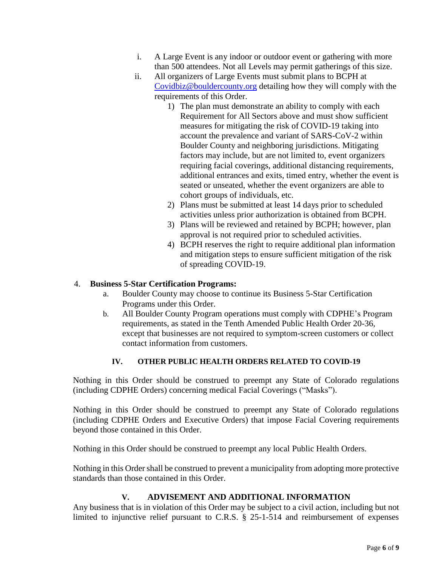- i. A Large Event is any indoor or outdoor event or gathering with more than 500 attendees. Not all Levels may permit gatherings of this size.
- ii. All organizers of Large Events must submit plans to BCPH at [Covidbiz@bouldercounty.org](mailto:Covidbiz@bouldercounty.org) detailing how they will comply with the requirements of this Order.
	- 1) The plan must demonstrate an ability to comply with each Requirement for All Sectors above and must show sufficient measures for mitigating the risk of COVID-19 taking into account the prevalence and variant of SARS-CoV-2 within Boulder County and neighboring jurisdictions. Mitigating factors may include, but are not limited to, event organizers requiring facial coverings, additional distancing requirements, additional entrances and exits, timed entry, whether the event is seated or unseated, whether the event organizers are able to cohort groups of individuals, etc.
	- 2) Plans must be submitted at least 14 days prior to scheduled activities unless prior authorization is obtained from BCPH.
	- 3) Plans will be reviewed and retained by BCPH; however, plan approval is not required prior to scheduled activities.
	- 4) BCPH reserves the right to require additional plan information and mitigation steps to ensure sufficient mitigation of the risk of spreading COVID-19.

#### 4. **Business 5-Star Certification Programs:**

- a. Boulder County may choose to continue its Business 5-Star Certification Programs under this Order.
- b. All Boulder County Program operations must comply with CDPHE's Program requirements, as stated in the Tenth Amended Public Health Order 20-36, except that businesses are not required to symptom-screen customers or collect contact information from customers.

#### **IV. OTHER PUBLIC HEALTH ORDERS RELATED TO COVID-19**

Nothing in this Order should be construed to preempt any State of Colorado regulations (including CDPHE Orders) concerning medical Facial Coverings ("Masks").

Nothing in this Order should be construed to preempt any State of Colorado regulations (including CDPHE Orders and Executive Orders) that impose Facial Covering requirements beyond those contained in this Order.

Nothing in this Order should be construed to preempt any local Public Health Orders.

Nothing in this Order shall be construed to prevent a municipality from adopting more protective standards than those contained in this Order.

#### **V. ADVISEMENT AND ADDITIONAL INFORMATION**

Any business that is in violation of this Order may be subject to a civil action, including but not limited to injunctive relief pursuant to C.R.S. § 25-1-514 and reimbursement of expenses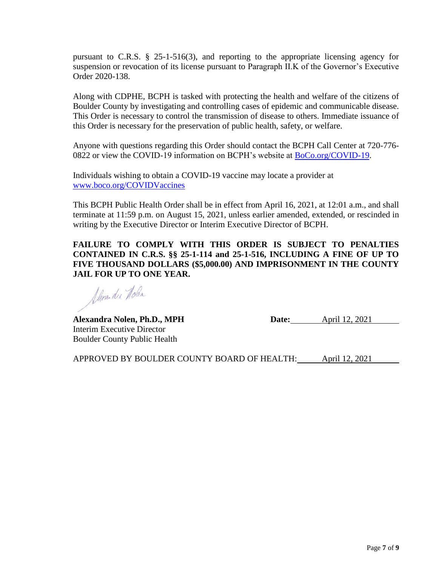pursuant to C.R.S. § 25-1-516(3), and reporting to the appropriate licensing agency for suspension or revocation of its license pursuant to Paragraph II.K of the Governor's Executive Order 2020-138.

Along with CDPHE, BCPH is tasked with protecting the health and welfare of the citizens of Boulder County by investigating and controlling cases of epidemic and communicable disease. This Order is necessary to control the transmission of disease to others. Immediate issuance of this Order is necessary for the preservation of public health, safety, or welfare.

Anyone with questions regarding this Order should contact the BCPH Call Center at 720-776- 0822 or view the COVID-19 information on BCPH's website at [BoCo.org/COVID-19.](http://www.boco.org/COVID-19)

Individuals wishing to obtain a COVID-19 vaccine may locate a provider at [www.boco.org/COVIDVaccines](http://www.boco.org/COVIDVaccines)

This BCPH Public Health Order shall be in effect from April 16, 2021, at 12:01 a.m., and shall terminate at 11:59 p.m. on August 15, 2021, unless earlier amended, extended, or rescinded in writing by the Executive Director or Interim Executive Director of BCPH.

**FAILURE TO COMPLY WITH THIS ORDER IS SUBJECT TO PENALTIES CONTAINED IN C.R.S. §§ 25-1-114 and 25-1-516, INCLUDING A FINE OF UP TO FIVE THOUSAND DOLLARS (\$5,000.00) AND IMPRISONMENT IN THE COUNTY JAIL FOR UP TO ONE YEAR.**

Derandia Hoba

Interim Executive Director Boulder County Public Health

**Alexandra Nolen, Ph.D., MPH Date:** April 12, 2021

APPROVED BY BOULDER COUNTY BOARD OF HEALTH: April 12, 2021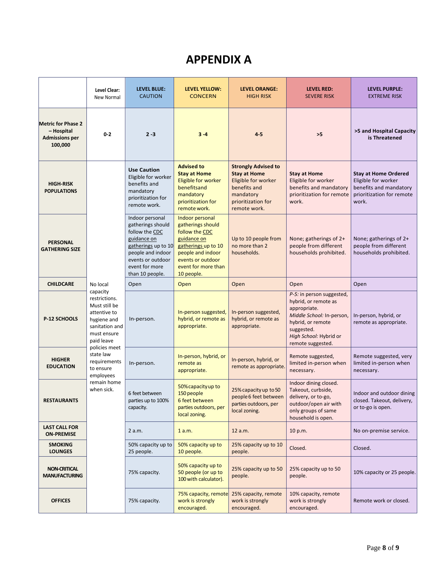## **APPENDIX A**

|                                                                             | Level Clear:<br>New Normal                                                                                                                                                                                                                | <b>LEVEL BLUE:</b><br><b>CAUTION</b>                                                                                                                                        | <b>LEVEL YELLOW:</b><br><b>CONCERN</b>                                                                                                                                      | <b>LEVEL ORANGE:</b><br><b>HIGH RISK</b>                                                                                                    | <b>LEVEL RED:</b><br><b>SEVERE RISK</b>                                                                                                                                          | <b>LEVEL PURPLE:</b><br><b>EXTREME RISK</b>                                                                        |
|-----------------------------------------------------------------------------|-------------------------------------------------------------------------------------------------------------------------------------------------------------------------------------------------------------------------------------------|-----------------------------------------------------------------------------------------------------------------------------------------------------------------------------|-----------------------------------------------------------------------------------------------------------------------------------------------------------------------------|---------------------------------------------------------------------------------------------------------------------------------------------|----------------------------------------------------------------------------------------------------------------------------------------------------------------------------------|--------------------------------------------------------------------------------------------------------------------|
| <b>Metric for Phase 2</b><br>- Hospital<br><b>Admissions per</b><br>100,000 | $0 - 2$                                                                                                                                                                                                                                   | $2 - 3$                                                                                                                                                                     | $3-4$                                                                                                                                                                       | $4-5$                                                                                                                                       | >5                                                                                                                                                                               | >5 and Hospital Capacity<br>is Threatened                                                                          |
| <b>HIGH-RISK</b><br><b>POPULATIONS</b>                                      | No local<br>capacity<br>restrictions.<br>Must still be<br>attentive to<br>hygiene and<br>sanitation and<br>must ensure<br>paid leave<br>policies meet<br>state law<br>requirements<br>to ensure<br>employees<br>remain home<br>when sick. | <b>Use Caution</b><br>Eligible for worker<br>benefits and<br>mandatory<br>prioritization for<br>remote work.                                                                | <b>Advised to</b><br><b>Stay at Home</b><br>Eligible for worker<br>benefitsand<br>mandatory<br>prioritization for<br>remote work.                                           | <b>Strongly Advised to</b><br><b>Stay at Home</b><br>Eligible for worker<br>benefits and<br>mandatory<br>prioritization for<br>remote work. | <b>Stay at Home</b><br>Eligible for worker<br>benefits and mandatory<br>prioritization for remote<br>work.                                                                       | <b>Stay at Home Ordered</b><br>Eligible for worker<br>benefits and mandatory<br>prioritization for remote<br>work. |
| <b>PERSONAL</b><br><b>GATHERING SIZE</b>                                    |                                                                                                                                                                                                                                           | Indoor personal<br>gatherings should<br>follow the CDC<br>guidance on<br>gatherings up to 10<br>people and indoor<br>events or outdoor<br>event for more<br>than 10 people. | Indoor personal<br>gatherings should<br>follow the CDC<br>guidance on<br>gatherings up to 10<br>people and indoor<br>events or outdoor<br>event for more than<br>10 people. | Up to 10 people from<br>no more than 2<br>households.                                                                                       | None; gatherings of 2+<br>people from different<br>households prohibited.                                                                                                        | None; gatherings of 2+<br>people from different<br>households prohibited.                                          |
| <b>CHILDCARE</b>                                                            |                                                                                                                                                                                                                                           | Open                                                                                                                                                                        | Open                                                                                                                                                                        | Open                                                                                                                                        | Open                                                                                                                                                                             | Open                                                                                                               |
| P-12 SCHOOLS                                                                |                                                                                                                                                                                                                                           | In-person.                                                                                                                                                                  | In-person suggested,<br>hybrid, or remote as<br>appropriate.                                                                                                                | In-person suggested,<br>hybrid, or remote as<br>appropriate.                                                                                | P-5: in person suggested,<br>hybrid, or remote as<br>appropriate.<br>Middle School: In-person,<br>hybrid, or remote<br>suggested.<br>High School: Hybrid or<br>remote suggested. | In-person, hybrid, or<br>remote as appropriate.                                                                    |
| <b>HIGHER</b><br><b>EDUCATION</b>                                           |                                                                                                                                                                                                                                           | In-person.                                                                                                                                                                  | In-person, hybrid, or<br>remote as<br>appropriate.                                                                                                                          | In-person, hybrid, or<br>remote as appropriate.                                                                                             | Remote suggested,<br>limited in-person when<br>necessary.                                                                                                                        | Remote suggested, very<br>limited in-person when<br>necessary.                                                     |
| <b>RESTAURANTS</b>                                                          |                                                                                                                                                                                                                                           | 6 feet between<br>parties up to 100%<br>capacity.                                                                                                                           | 50% capacity up to<br>150 people<br>6 feet between<br>parties outdoors, per<br>local zoning.                                                                                | 25% capacity up to 50<br>people 6 feet between<br>parties outdoors, per<br>local zoning.                                                    | Indoor dining closed.<br>Takeout, curbside,<br>delivery, or to-go,<br>outdoor/open air with<br>only groups of same<br>household is open.                                         | Indoor and outdoor dining<br>closed. Takeout, delivery,<br>or to-go is open.                                       |
| <b>LAST CALL FOR</b><br><b>ON-PREMISE</b>                                   |                                                                                                                                                                                                                                           | 2 a.m.                                                                                                                                                                      | 1 a.m.                                                                                                                                                                      | 12 a.m.                                                                                                                                     | 10 p.m.                                                                                                                                                                          | No on-premise service.                                                                                             |
| <b>SMOKING</b><br><b>LOUNGES</b>                                            |                                                                                                                                                                                                                                           | 50% capacity up to<br>25 people.                                                                                                                                            | 50% capacity up to<br>10 people.                                                                                                                                            | 25% capacity up to 10<br>people.                                                                                                            | Closed.                                                                                                                                                                          | Closed.                                                                                                            |
| <b>NON-CRITICAL</b><br><b>MANUFACTURING</b>                                 |                                                                                                                                                                                                                                           | 75% capacity.                                                                                                                                                               | 50% capacity up to<br>50 people (or up to<br>100 with calculator).                                                                                                          | 25% capacity up to 50<br>people.                                                                                                            | 25% capacity up to 50<br>people.                                                                                                                                                 | 10% capacity or 25 people.                                                                                         |
| <b>OFFICES</b>                                                              |                                                                                                                                                                                                                                           | 75% capacity.                                                                                                                                                               | 75% capacity, remote<br>work is strongly<br>encouraged.                                                                                                                     | 25% capacity, remote<br>work is strongly<br>encouraged.                                                                                     | 10% capacity, remote<br>work is strongly<br>encouraged.                                                                                                                          | Remote work or closed.                                                                                             |